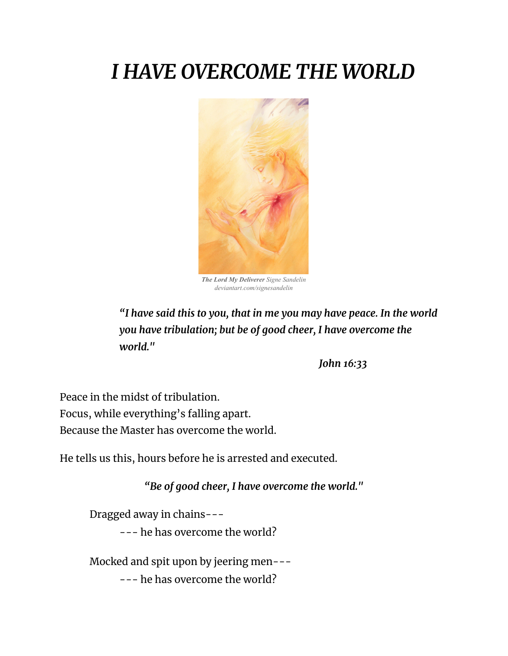# *I HAVE OVERCOME THE WORLD*



*The Lord My Deliverer Signe Sandelin deviantart.com/signesandelin*

*"I have said this to you, that in me you may have peace. In the world you have tribulation; but be of good cheer, I have overcome the world."*

*John 16:33*

Peace in the midst of tribulation. Focus, while everything's falling apart. Because the Master has overcome the world.

He tells us this, hours before he is arrested and executed.

*"Be of good cheer, I have overcome the world."*

Dragged away in chains---

--- he has overcome the world?

Mocked and spit upon by jeering men---

--- he has overcome the world?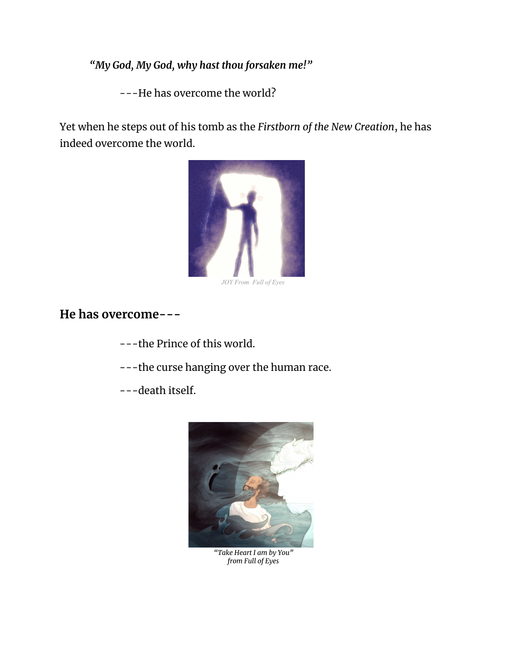*"My God, My God, why hast thou forsaken me!"*

---He has overcome the world?

Yet when he steps out of his tomb as the *Firstborn of the New Creation*, he has indeed overcome the world.



*JOY From Full of Eyes*

#### **He has overcome---**

- ---the Prince of this world.
- ---the curse hanging over the human race.
- ---death itself.



*"Take Heart I am by You" from Full of Eyes*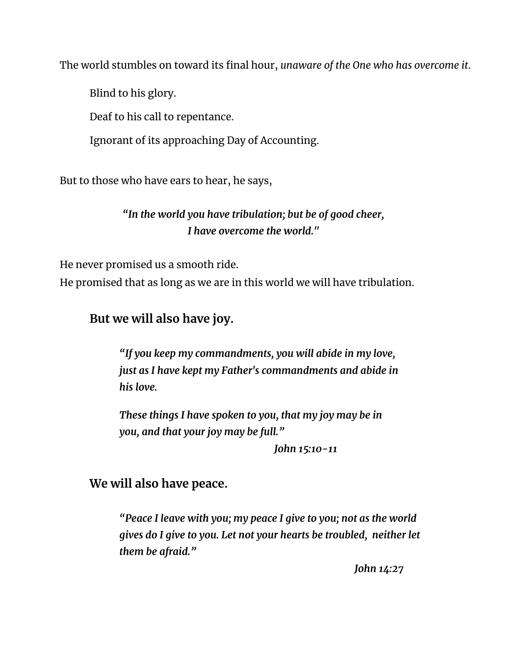The world stumbles on toward its final hour, *unaware of the One who has overcome it*.

Blind to his glory.

Deaf to his call to repentance.

Ignorant of its approaching Day of Accounting.

But to those who have ears to hear, he says,

*"In the world you have tribulation; but be of good cheer, I have overcome the world."*

He never promised us a smooth ride.

He promised that as long as we are in this world we will have tribulation.

## **But we will also have joy.**

*"If you keep my commandments, you will abide in my love, just as I have kept my Father's commandments and abide in his love.*

*These things I have spoken to you, that my joy may be in you, and that your joy may be full."*

*John 15:10-11*

## **We will also have peace.**

*"Peace I leave with you; my peace I give to you; not as the world gives do I give to you. Let not your hearts be troubled, neither let them be afraid."*

*John 14:27*